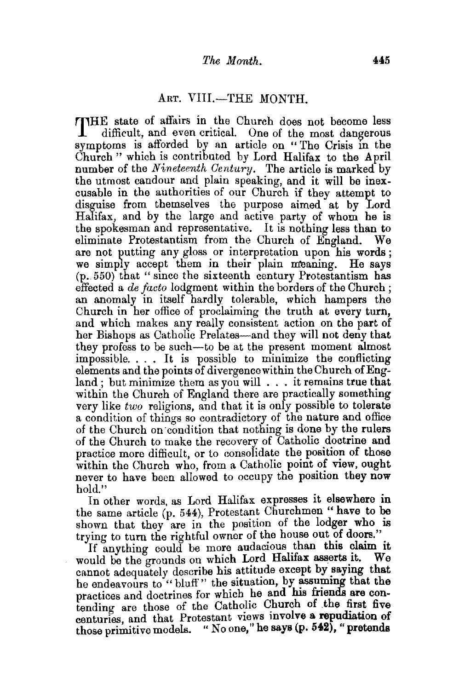## ART. VIII.-THE MONTH.

THE state of affairs in the Church does not become less difficult, and even critical. One of the most dangerous symptoms is afforded by an article on "The Crisis in the Church " which is contributed by Lord Halifax to the April number of the *Nineteenth Century.* The article is marked by the utmost candour and plain speaking, and it will be inexcusable in the authorities of our Church if they attempt to disguise from themselves the purpose aimed at by Lord Halifax, and by the large and active party of whom he is the spokesman and representative. It is nothing less than to eliminate Protestantism from the Church of England. We are not putting any gloss or interpretation upon his words; we simply accept them in their plain meaning. He says (p. 550) that "since the sixteenth century Protestantism has effected a *de facto* lodgment within the borders of the Church ; an anomaly in itself hardly tolerable, which hampers the Church in her office of proclaiming the truth at every turn, and which makes any really consistent action on the part of her Bishops as Catholic Prelates—and they will not deny that they profess to be such-to be at the present moment almost impossible. . . . It is possible to minimize the conflicting elements and the points of divergence within the Church of England; but minimize them as you will . . . it remains true that within the Church of England there are practically something very like *two* religions, and that it is only possible to tolerate a condition of things so contradictory of the nature and office of the Church on ·condition that nothing is done by the rulers of the Church to make the recovery of Catholic doctrine and practice more difficult, or to consolidate the position of those within the Church who, from a Catholic point of view, ought never to have been allowed to occupy the position they now hold."

In other words, as Lord Halifax expresses it elsewhere in the same article (p. 544), Protestant Churchmen " have to be shown that they are in the position of the lodger who is trying to turn the rightful owner of the house out of doors."

If anything could be more audacious than this claim it wild be the grounds on which Lord Halifax asserts it. We would be the grounds on which Lord Halifax asserts it. cannot adequately describe his attitude except by saying that he endeavours to " bluff" the situation, by assuming that the practices and doctrines for which he and his friends are contending are those of the Catholic Church of the first five centuries, and that Protestant views involve a repudiation of those primitive models. " No one," he says (p. 542), " pretends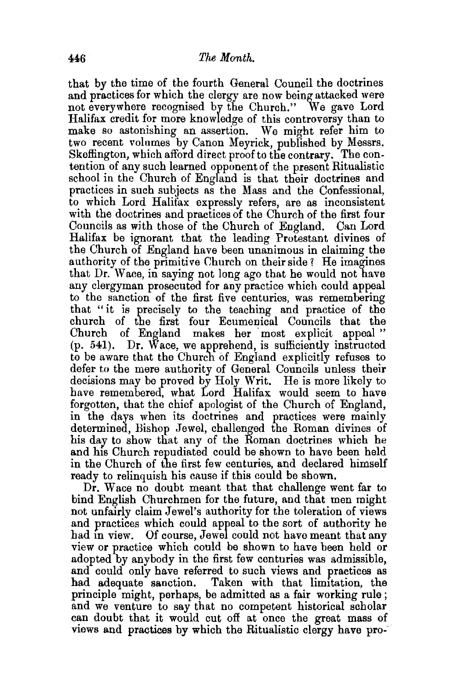that by the time of the fourth General Council the doctrines and practices for which the clergy are now being attacked were not everywhere recognised by the Church." We gave Lord Halifax credit for more knowledge of this controversy than to make so astonishing an assertion. We might refer him to two recent volumes by Canon Meyrick, published by Messrs. Skeffington, which afford direct proof to the contrary. The contention of any such learned opponent of the present Ritualistic school in the Church of England is that their doctrines and practices in such subjects as the Mass and the Confessional, to which Lord Halifax expressly refers, are as inconsistent with the doctrines and practices of the Church of the first four Councils as with those of the Church of England. Can Lord Halifax be ignorant that the leading Protestant divines of the Church of England have been unanimous in claiming the authority of the primitive Church on their side? He imagines that Dr. W ace, in saying not long ago that he would not have any clergyman prosecuted for any practice which could appeal to the sanction of the first five centuries, was remembering that "it is precisely to the teaching and practice of the church of the first four Ecumenical Councils that the of England makes her most explicit appeal " (p. 541). Dr. Wace, we apprehend, is sufficiently instructed to be aware that the Church of England explicitly refuses to defer to the mere authority of General Councils unless their decisions may be proved by Holy Writ. He is more likely to have remembered, what Lord Halifax would seem to have forgotten, that the chief apologist of the Church of England, in the days when its doctrines and practices were mainly determined, Bishop Jewel, challenged the Roman divines of his day to show that any of the Roman doctrines which he and his Church repudiated could be shown to have been held in the Church of the first few centuries, and declared himself ready to relinquish his cause if this could be shown.

Dr. Wace no doubt meant that that challenge went far to bind English Churchmen for the future, and that men might not unfairly claim Jewel's authority for the toleration of views and practices which could appeal to the sort of authority he had in view. Of course, Jewel could not have meant that any view or practice which could be shown to have been held or adopted by anybody in the first few centuries was admissible, and could only have referred to such views and practices as had adequate sanction. Taken with that limitation, the principle might, perhaps, be admitted as a fair working rule ; and we venture to say that no competent historical scholar can doubt that it would cut off at once the great mass of views and practices by which the Ritualistic clergy have pro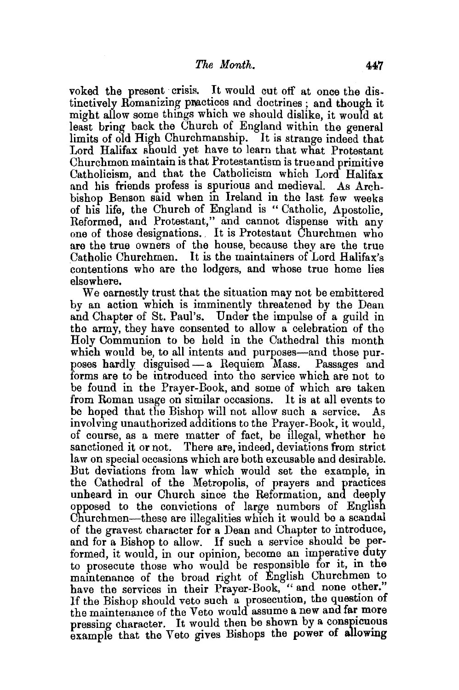voked the present crisis. It would cut off at once the distinctively Romanizing practices and doctrines ; and though it might allow some things which we should dislike, it would at least bring back the Church of England within the general limits of old High Churchmanship. It is strange indeed that Lord Halifax should yet have to learn that what Protestant Churchmen maintain is that Protestantism is true and primitive Catholicism, and that the Catholicism which Lord Halifax and his friends profess is spurious and medieval. As Archbishop Benson said when in Ireland in the last few weeks of his life, the Church of England is " Catholic, Apostolic, Reformed, and Protestant," and cannot dispense with any one of those designations. , It is Protestant Churchmen who are the true owners of the house, because they are the true Catholic Churchmen. It is the maintainers of Lord Halifax's contentions who are the lodgers, and whose true home lies elsewhere.

We earnestly trust that the situation may not be embittered by an action which is imminently threatened by the Dean and Chapter of St. Paul's. Under the impulse of a guild in the army, they have consented to allow a celebration of the Holy Communion to be held in the Cathedral this month which would be, to all intents and purposes—and those purposes hardly disguised- a Requiem Mass. Passages and forms are to be introduced into the service which are not to be found in the Prayer-Book, and some of which are taken from Roman usage on similar occasions. It is at all events to be hoped that the Bishop will not allow such a service. As involving unauthorized additions to the Prayer-Book, it would, of course, as a mere matter of fact, be illegal, whether he sanctioned it or not. There are, indeed, deviations from strict law on special occasions which are both excusable and desirable. But deviations from law which would set the example, in the Cathedral of the Metropolis, of prayers and practices unheard in our Church since the Reformation, and deeply opposed to the convictions of large numbers of Enghsh Churchmen-these are illegalities which it would be a scandal of the gravest character for a Dean and Chapter to introduce, and for a Bishop to allow. If such a service should be performed, it would, in our opinion, become an imperative duty to prosecute those who would be responsible for it, in the maintenance of the broad right of English Churchmen to have the services in their Prayer-Book, "and none other." If the Bishop should veto such a prosecution, the question of the maintenance of the Veto would assume a new and far more pressing character. It would then be shown by a conspicuous example that the Veto gives Bishops the power of allowing